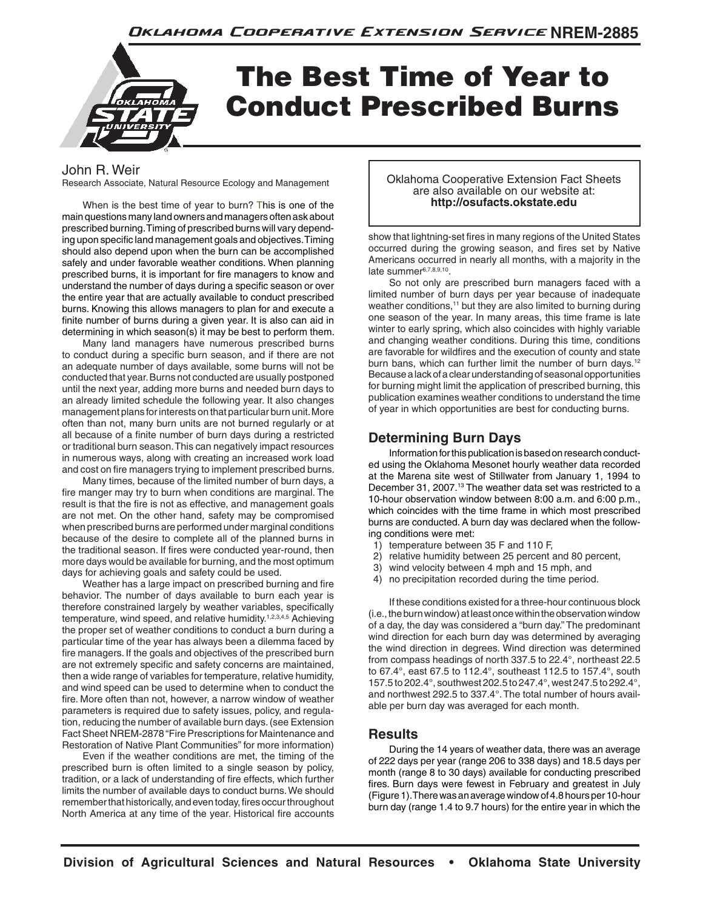

### John R. Weir

Research Associate, Natural Resource Ecology and Management

When is the best time of year to burn? This is one of the main questions many land owners and managers often ask about prescribed burning. Timing of prescribed burns will vary depending upon specific land management goals and objectives. Timing should also depend upon when the burn can be accomplished safely and under favorable weather conditions. When planning prescribed burns, it is important for fire managers to know and understand the number of days during a specific season or over the entire year that are actually available to conduct prescribed burns. Knowing this allows managers to plan for and execute a finite number of burns during a given year. It is also can aid in determining in which season(s) it may be best to perform them.

Many land managers have numerous prescribed burns to conduct during a specific burn season, and if there are not an adequate number of days available, some burns will not be conducted that year. Burns not conducted are usually postponed until the next year, adding more burns and needed burn days to an already limited schedule the following year. It also changes management plans for interests on that particular burn unit. More often than not, many burn units are not burned regularly or at all because of a finite number of burn days during a restricted or traditional burn season. This can negatively impact resources in numerous ways, along with creating an increased work load and cost on fire managers trying to implement prescribed burns.

Many times, because of the limited number of burn days, a fire manger may try to burn when conditions are marginal. The result is that the fire is not as effective, and management goals are not met. On the other hand, safety may be compromised when prescribed burns are performed under marginal conditions because of the desire to complete all of the planned burns in the traditional season. If fires were conducted year-round, then more days would be available for burning, and the most optimum days for achieving goals and safety could be used.

Weather has a large impact on prescribed burning and fire behavior. The number of days available to burn each year is therefore constrained largely by weather variables, specifically temperature, wind speed, and relative humidity.1,2,3,4,5 Achieving the proper set of weather conditions to conduct a burn during a particular time of the year has always been a dilemma faced by fire managers. If the goals and objectives of the prescribed burn are not extremely specific and safety concerns are maintained, then a wide range of variables for temperature, relative humidity, and wind speed can be used to determine when to conduct the fire. More often than not, however, a narrow window of weather parameters is required due to safety issues, policy, and regulation, reducing the number of available burn days. (see Extension Fact Sheet NREM-2878 "Fire Prescriptions for Maintenance and Restoration of Native Plant Communities" for more information)

Even if the weather conditions are met, the timing of the prescribed burn is often limited to a single season by policy, tradition, or a lack of understanding of fire effects, which further limits the number of available days to conduct burns. We should remember that historically, and even today, fires occur throughout North America at any time of the year. Historical fire accounts

Oklahoma Cooperative Extension Fact Sheets are also available on our website at: **http://osufacts.okstate.edu**

show that lightning-set fires in many regions of the United States occurred during the growing season, and fires set by Native Americans occurred in nearly all months, with a majority in the late summer<sup>6,7,8,9,10</sup>.

So not only are prescribed burn managers faced with a limited number of burn days per year because of inadequate weather conditions,<sup>11</sup> but they are also limited to burning during one season of the year. In many areas, this time frame is late winter to early spring, which also coincides with highly variable and changing weather conditions. During this time, conditions are favorable for wildfires and the execution of county and state burn bans, which can further limit the number of burn days.<sup>12</sup> Because a lack of a clear understanding of seasonal opportunities for burning might limit the application of prescribed burning, this publication examines weather conditions to understand the time of year in which opportunities are best for conducting burns.

# **Determining Burn Days**

Information for this publication is based on research conducted using the Oklahoma Mesonet hourly weather data recorded at the Marena site west of Stillwater from January 1, 1994 to December 31, 2007.<sup>13</sup> The weather data set was restricted to a 10-hour observation window between 8:00 a.m. and 6:00 p.m., which coincides with the time frame in which most prescribed burns are conducted. A burn day was declared when the following conditions were met:

- 1) temperature between 35 F and 110 F,
- 2) relative humidity between 25 percent and 80 percent,
- 3) wind velocity between 4 mph and 15 mph, and
- 4) no precipitation recorded during the time period.

If these conditions existed for a three-hour continuous block (i.e., the burn window) at least once within the observation window of a day, the day was considered a "burn day." The predominant wind direction for each burn day was determined by averaging the wind direction in degrees. Wind direction was determined from compass headings of north 337.5 to 22.4°, northeast 22.5 to 67.4°, east 67.5 to 112.4°, southeast 112.5 to 157.4°, south 157.5 to 202.4°, southwest 202.5 to 247.4°, west 247.5 to 292.4°, and northwest 292.5 to 337.4°. The total number of hours available per burn day was averaged for each month.

## **Results**

During the 14 years of weather data, there was an average of 222 days per year (range 206 to 338 days) and 18.5 days per month (range 8 to 30 days) available for conducting prescribed fires. Burn days were fewest in February and greatest in July (Figure 1). There was an average window of 4.8 hours per 10-hour burn day (range 1.4 to 9.7 hours) for the entire year in which the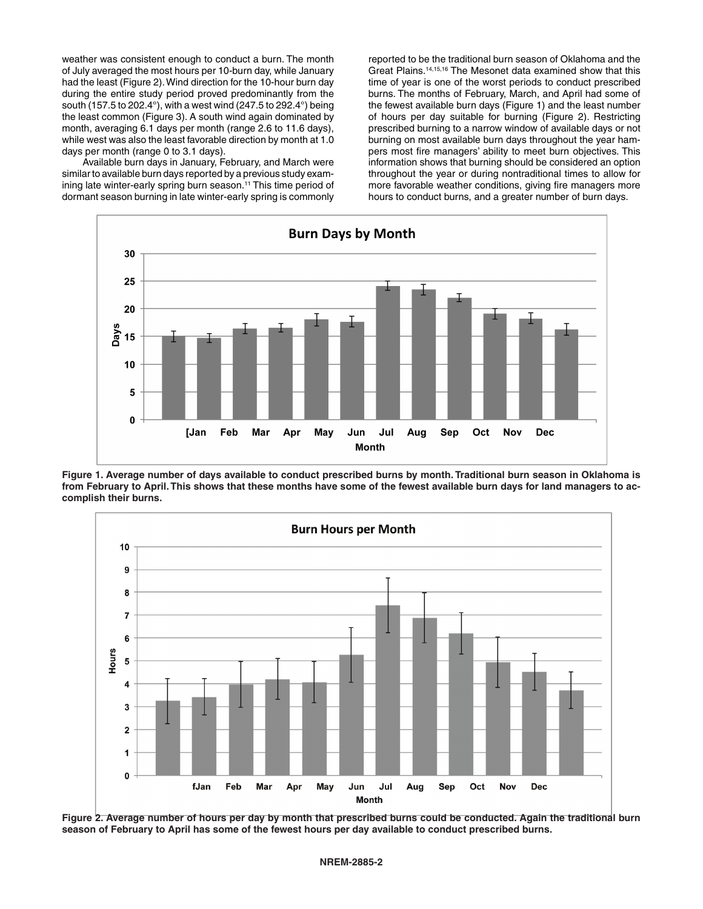weather was consistent enough to conduct a burn. The month of July averaged the most hours per 10-burn day, while January had the least (Figure 2). Wind direction for the 10-hour burn day during the entire study period proved predominantly from the south (157.5 to 202.4°), with a west wind (247.5 to 292.4°) being the least common (Figure 3). A south wind again dominated by month, averaging 6.1 days per month (range 2.6 to 11.6 days), while west was also the least favorable direction by month at 1.0 days per month (range 0 to 3.1 days).

Available burn days in January, February, and March were similar to available burn days reported by a previous study examining late winter-early spring burn season.<sup>11</sup> This time period of dormant season burning in late winter-early spring is commonly

reported to be the traditional burn season of Oklahoma and the Great Plains.<sup>14,15,16</sup> The Mesonet data examined show that this time of year is one of the worst periods to conduct prescribed burns. The months of February, March, and April had some of the fewest available burn days (Figure 1) and the least number of hours per day suitable for burning (Figure 2). Restricting prescribed burning to a narrow window of available days or not burning on most available burn days throughout the year hampers most fire managers' ability to meet burn objectives. This information shows that burning should be considered an option throughout the year or during nontraditional times to allow for more favorable weather conditions, giving fire managers more hours to conduct burns, and a greater number of burn days.



**Figure 1. Average number of days available to conduct prescribed burns by month. Traditional burn season in Oklahoma is from February to April. This shows that these months have some of the fewest available burn days for land managers to accomplish their burns.**



**Figure 2. Average number of hours per day by month that prescribed burns could be conducted. Again the traditional burn season of February to April has some of the fewest hours per day available to conduct prescribed burns.**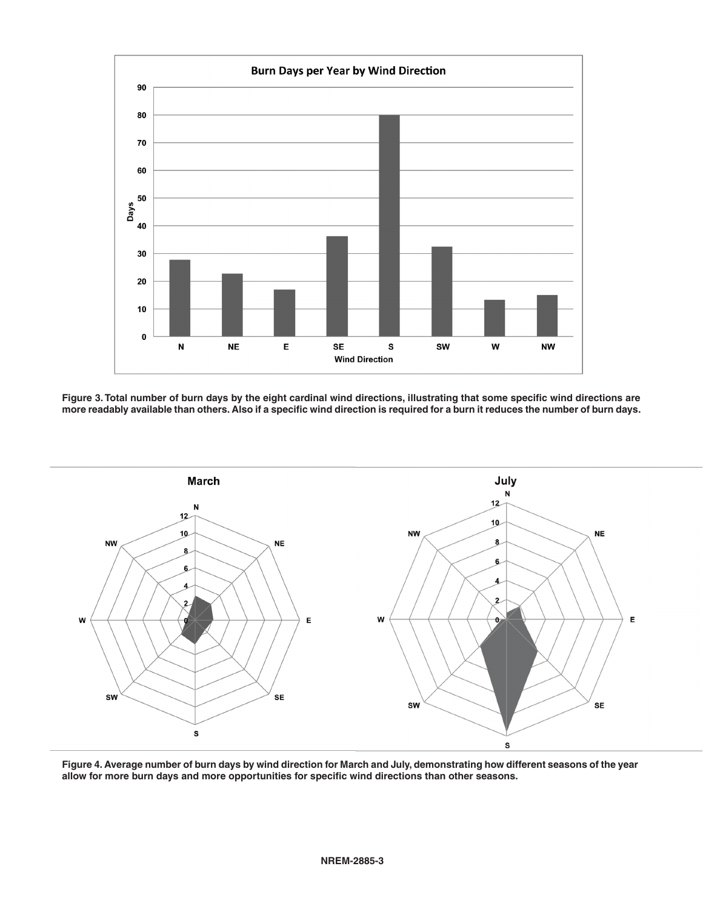

**Figure 3. Total number of burn days by the eight cardinal wind directions, illustrating that some specific wind directions are more readably available than others. Also if a specific wind direction is required for a burn it reduces the number of burn days.**



**Figure 4. Average number of burn days by wind direction for March and July, demonstrating how different seasons of the year allow for more burn days and more opportunities for specific wind directions than other seasons.**